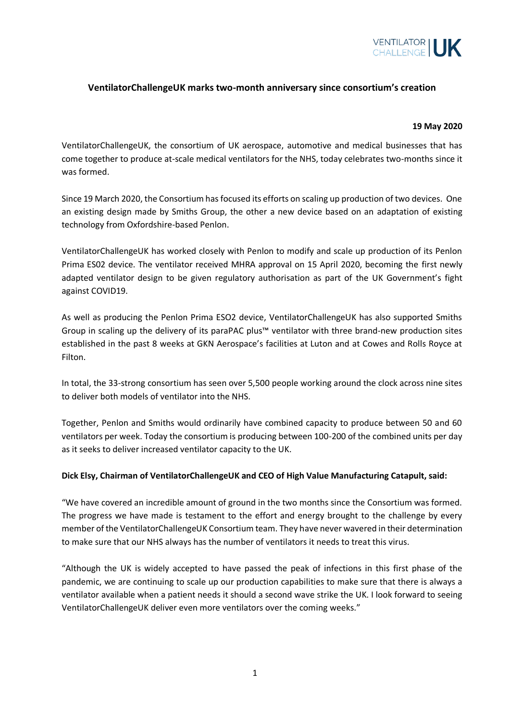

## **VentilatorChallengeUK marks two-month anniversary since consortium's creation**

## **19 May 2020**

VentilatorChallengeUK, the consortium of UK aerospace, automotive and medical businesses that has come together to produce at-scale medical ventilators for the NHS, today celebrates two-months since it was formed.

Since 19 March 2020, the Consortium has focused its efforts on scaling up production of two devices. One an existing design made by Smiths Group, the other a new device based on an adaptation of existing technology from Oxfordshire-based Penlon.

VentilatorChallengeUK has worked closely with Penlon to modify and scale up production of its Penlon Prima ES02 device. The ventilator received MHRA approval on 15 April 2020, becoming the first newly adapted ventilator design to be given regulatory authorisation as part of the UK Government's fight against COVID19.

As well as producing the Penlon Prima ESO2 device, VentilatorChallengeUK has also supported Smiths Group in scaling up the delivery of its paraPAC plus™ ventilator with three brand-new production sites established in the past 8 weeks at GKN Aerospace's facilities at Luton and at Cowes and Rolls Royce at Filton.

In total, the 33-strong consortium has seen over 5,500 people working around the clock across nine sites to deliver both models of ventilator into the NHS.

Together, Penlon and Smiths would ordinarily have combined capacity to produce between 50 and 60 ventilators per week. Today the consortium is producing between 100-200 of the combined units per day as it seeks to deliver increased ventilator capacity to the UK.

## **Dick Elsy, Chairman of VentilatorChallengeUK and CEO of High Value Manufacturing Catapult, said:**

"We have covered an incredible amount of ground in the two months since the Consortium was formed. The progress we have made is testament to the effort and energy brought to the challenge by every member of the VentilatorChallengeUK Consortium team. They have never wavered in their determination to make sure that our NHS always has the number of ventilators it needs to treat this virus.

"Although the UK is widely accepted to have passed the peak of infections in this first phase of the pandemic, we are continuing to scale up our production capabilities to make sure that there is always a ventilator available when a patient needs it should a second wave strike the UK. I look forward to seeing VentilatorChallengeUK deliver even more ventilators over the coming weeks."